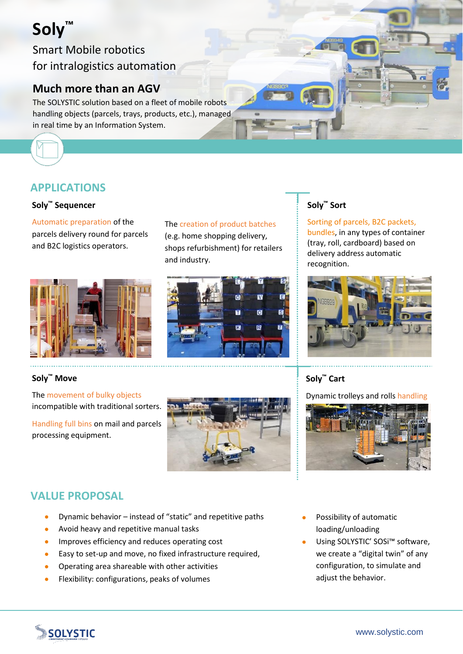# **Soly™**

Smart Mobile robotics for intralogistics automation

# **Much more than an AGV**

The SOLYSTIC solution based on a fleet of mobile robots handling objects (parcels, trays, products, etc.), managed in real time by an Information System.

# **APPLICATIONS**

#### **Soly™ Sequencer**

Automatic preparation of the parcels delivery round for parcels and B2C logistics operators.



#### **Soly™ Move**

The movement of bulky objects incompatible with traditional sorters.

Handling full bins on mail and parcels processing equipment.

The creation of product batches (e.g. home shopping delivery, shops refurbishment) for retailers

 $\overline{\mathbf{M}}$ 

 $\overline{a}$ 

Ħ

ĸ

and industry.

#### **Soly™ Sort**

Sorting of parcels, B2C packets, bundles, in any types of container (tray, roll, cardboard) based on delivery address automatic recognition.



# **Soly™ Cart**

Dynamic trolleys and rolls handling



# **VALUE PROPOSAL**

- Dynamic behavior instead of "static" and repetitive paths
- Avoid heavy and repetitive manual tasks
- **IMPROVES Efficiency and reduces operating cost**
- Easy to set-up and move, no fixed infrastructure required,
- Operating area shareable with other activities
- Flexibility: configurations, peaks of volumes
- Possibility of automatic loading/unloading
- Using SOLYSTIC' SOSi™ software, we create a "digital twin" of any configuration, to simulate and adjust the behavior.